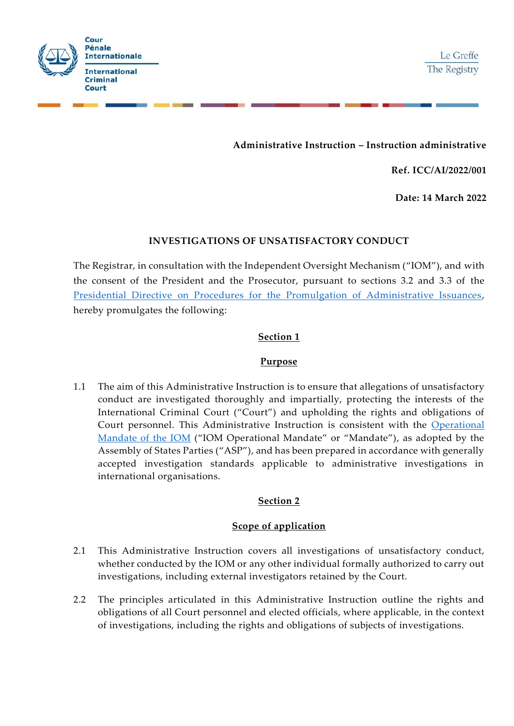

# **Administrative Instruction – Instruction administrative**

**Ref. ICC/AI/2022/001**

**Date: 14 March 2022**

#### **INVESTIGATIONS OF UNSATISFACTORY CONDUCT**

The Registrar, in consultation with the Independent Oversight Mechanism ("IOM"), and with the consent of the President and the Prosecutor, pursuant to sections 3.2 and 3.3 of the Presidential Directive [on Procedures for the Promulgation of Administrative Issuances,](https://www.icc-cpi.int/Vademecum/OT585535_ICC%20PRESD%20G%202003%20001%20(ENG)%20-%20PROCEDURES%20FOR%20THE%20PROMULGATION%20OF%20ADMINISTRATIVE%20ISSUANCES.PDF) hereby promulgates the following:

## **Section 1**

#### **Purpose**

1.1 The aim of this Administrative Instruction is to ensure that allegations of unsatisfactory conduct are investigated thoroughly and impartially, protecting the interests of the International Criminal Court ("Court") and upholding the rights and obligations of Court personnel. This Administrative Instruction is consistent with the [Operational](https://asp.icc-cpi.int/iccdocs/asp_docs/ASP19/ICC-ASP-19-Res6-ENG.pdf#page=26)  [Mandate of the IOM](https://asp.icc-cpi.int/iccdocs/asp_docs/ASP19/ICC-ASP-19-Res6-ENG.pdf#page=26) ("IOM Operational Mandate" or "Mandate"), as adopted by the Assembly of States Parties ("ASP"), and has been prepared in accordance with generally accepted investigation standards applicable to administrative investigations in international organisations.

## **Section 2**

## **Scope of application**

- 2.1 This Administrative Instruction covers all investigations of unsatisfactory conduct, whether conducted by the IOM or any other individual formally authorized to carry out investigations, including external investigators retained by the Court.
- 2.2 The principles articulated in this Administrative Instruction outline the rights and obligations of all Court personnel and elected officials, where applicable, in the context of investigations, including the rights and obligations of subjects of investigations.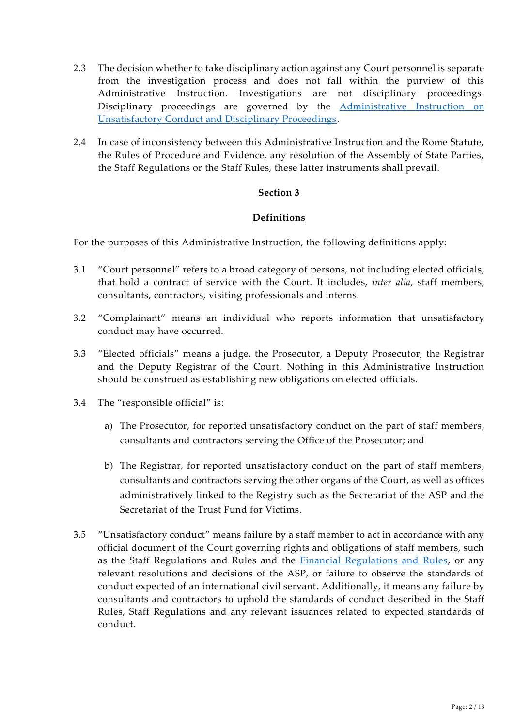- 2.3 The decision whether to take disciplinary action against any Court personnel is separate from the investigation process and does not fall within the purview of this Administrative Instruction. Investigations are not disciplinary proceedings. Disciplinary proceedings are governed by the **[Administrative Instruction](https://www.icc-cpi.int/Vademecum/ICC_AI_2022_002-ENG_UNSATISFACTORY-CONDUCT-AND-DISCIPLINARY-PROCEEDINGS.PDF) on** [Unsatisfactory Conduct and Disciplinary Proceedings.](https://www.icc-cpi.int/Vademecum/ICC_AI_2022_002-ENG_UNSATISFACTORY-CONDUCT-AND-DISCIPLINARY-PROCEEDINGS.PDF)
- 2.4 In case of inconsistency between this Administrative Instruction and the Rome Statute, the Rules of Procedure and Evidence, any resolution of the Assembly of State Parties, the Staff Regulations or the Staff Rules, these latter instruments shall prevail.

## **Definitions**

For the purposes of this Administrative Instruction, the following definitions apply:

- 3.1 "Court personnel" refers to a broad category of persons, not including elected officials, that hold a contract of service with the Court. It includes, *inter alia*, staff members, consultants, contractors, visiting professionals and interns.
- 3.2 "Complainant" means an individual who reports information that unsatisfactory conduct may have occurred.
- 3.3 "Elected officials" means a judge, the Prosecutor, a Deputy Prosecutor, the Registrar and the Deputy Registrar of the Court. Nothing in this Administrative Instruction should be construed as establishing new obligations on elected officials.
- 3.4 The "responsible official" is:
	- a) The Prosecutor, for reported unsatisfactory conduct on the part of staff members, consultants and contractors serving the Office of the Prosecutor; and
	- b) The Registrar, for reported unsatisfactory conduct on the part of staff members, consultants and contractors serving the other organs of the Court, as well as offices administratively linked to the Registry such as the Secretariat of the ASP and the Secretariat of the Trust Fund for Victims.
- 3.5 "Unsatisfactory conduct" means failure by a staff member to act in accordance with any official document of the Court governing rights and obligations of staff members, such as the Staff Regulations and Rules and the [Financial Regulations and Rules,](https://www.icc-cpi.int/NR/rdonlyres/D4B6E16A-BD66-46AF-BB43-8D4C3F069786/281202/FRRENG0705.pdf) or any relevant resolutions and decisions of the ASP, or failure to observe the standards of conduct expected of an international civil servant. Additionally, it means any failure by consultants and contractors to uphold the standards of conduct described in the Staff Rules, Staff Regulations and any relevant issuances related to expected standards of conduct.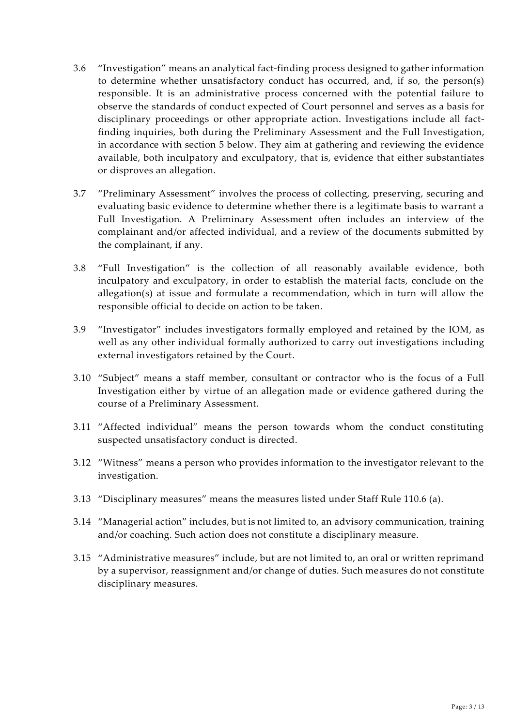- 3.6 "Investigation" means an analytical fact-finding process designed to gather information to determine whether unsatisfactory conduct has occurred, and, if so, the person(s) responsible. It is an administrative process concerned with the potential failure to observe the standards of conduct expected of Court personnel and serves as a basis for disciplinary proceedings or other appropriate action. Investigations include all factfinding inquiries, both during the Preliminary Assessment and the Full Investigation, in accordance with section 5 below. They aim at gathering and reviewing the evidence available, both inculpatory and exculpatory, that is, evidence that either substantiates or disproves an allegation.
- 3.7 "Preliminary Assessment" involves the process of collecting, preserving, securing and evaluating basic evidence to determine whether there is a legitimate basis to warrant a Full Investigation. A Preliminary Assessment often includes an interview of the complainant and/or affected individual, and a review of the documents submitted by the complainant, if any.
- 3.8 "Full Investigation" is the collection of all reasonably available evidence, both inculpatory and exculpatory, in order to establish the material facts, conclude on the allegation(s) at issue and formulate a recommendation, which in turn will allow the responsible official to decide on action to be taken.
- 3.9 "Investigator" includes investigators formally employed and retained by the IOM, as well as any other individual formally authorized to carry out investigations including external investigators retained by the Court.
- 3.10 "Subject" means a staff member, consultant or contractor who is the focus of a Full Investigation either by virtue of an allegation made or evidence gathered during the course of a Preliminary Assessment.
- 3.11 "Affected individual" means the person towards whom the conduct constituting suspected unsatisfactory conduct is directed.
- 3.12 "Witness" means a person who provides information to the investigator relevant to the investigation.
- 3.13 "Disciplinary measures" means the measures listed under Staff Rule 110.6 (a).
- 3.14 "Managerial action" includes, but is not limited to, an advisory communication, training and/or coaching. Such action does not constitute a disciplinary measure.
- 3.15 "Administrative measures" include, but are not limited to, an oral or written reprimand by a supervisor, reassignment and/or change of duties. Such measures do not constitute disciplinary measures.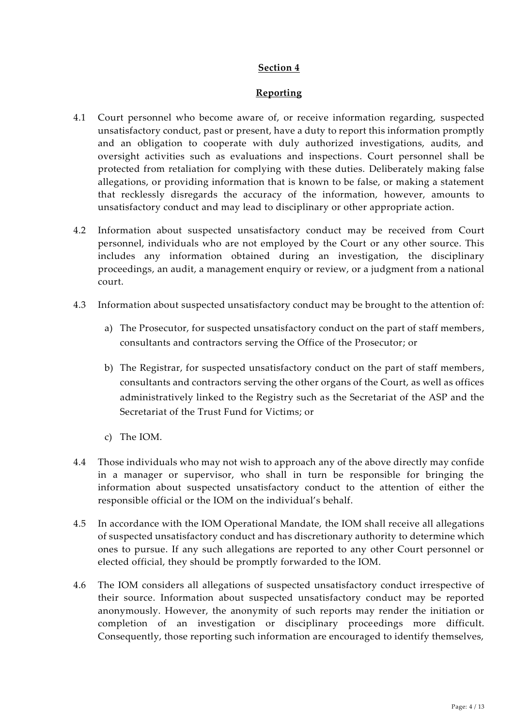#### **Reporting**

- 4.1 Court personnel who become aware of, or receive information regarding, suspected unsatisfactory conduct, past or present, have a duty to report this information promptly and an obligation to cooperate with duly authorized investigations, audits, and oversight activities such as evaluations and inspections. Court personnel shall be protected from retaliation for complying with these duties. Deliberately making false allegations, or providing information that is known to be false, or making a statement that recklessly disregards the accuracy of the information, however, amounts to unsatisfactory conduct and may lead to disciplinary or other appropriate action.
- 4.2 Information about suspected unsatisfactory conduct may be received from Court personnel, individuals who are not employed by the Court or any other source. This includes any information obtained during an investigation, the disciplinary proceedings, an audit, a management enquiry or review, or a judgment from a national court.
- 4.3 Information about suspected unsatisfactory conduct may be brought to the attention of:
	- a) The Prosecutor, for suspected unsatisfactory conduct on the part of staff members, consultants and contractors serving the Office of the Prosecutor; or
	- b) The Registrar, for suspected unsatisfactory conduct on the part of staff members, consultants and contractors serving the other organs of the Court, as well as offices administratively linked to the Registry such as the Secretariat of the ASP and the Secretariat of the Trust Fund for Victims; or
	- c) The IOM.
- 4.4 Those individuals who may not wish to approach any of the above directly may confide in a manager or supervisor, who shall in turn be responsible for bringing the information about suspected unsatisfactory conduct to the attention of either the responsible official or the IOM on the individual's behalf.
- 4.5 In accordance with the IOM Operational Mandate, the IOM shall receive all allegations of suspected unsatisfactory conduct and has discretionary authority to determine which ones to pursue. If any such allegations are reported to any other Court personnel or elected official, they should be promptly forwarded to the IOM.
- 4.6 The IOM considers all allegations of suspected unsatisfactory conduct irrespective of their source. Information about suspected unsatisfactory conduct may be reported anonymously. However, the anonymity of such reports may render the initiation or completion of an investigation or disciplinary proceedings more difficult. Consequently, those reporting such information are encouraged to identify themselves,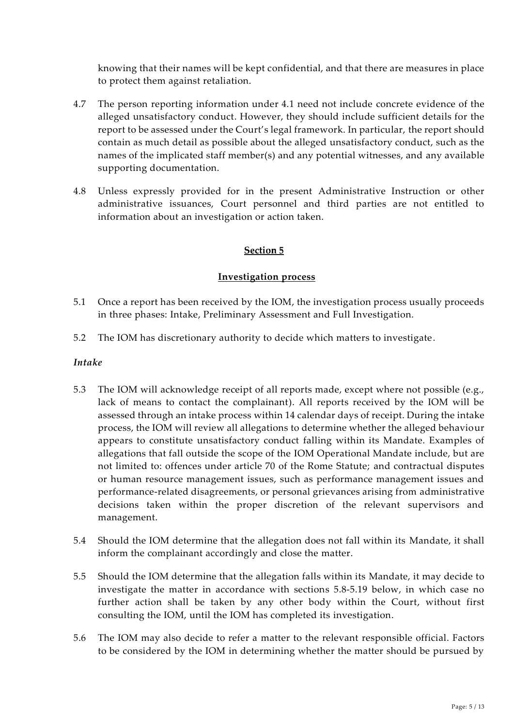knowing that their names will be kept confidential, and that there are measures in place to protect them against retaliation.

- 4.7 The person reporting information under 4.1 need not include concrete evidence of the alleged unsatisfactory conduct. However, they should include sufficient details for the report to be assessed under the Court's legal framework. In particular, the report should contain as much detail as possible about the alleged unsatisfactory conduct, such as the names of the implicated staff member(s) and any potential witnesses, and any available supporting documentation.
- 4.8 Unless expressly provided for in the present Administrative Instruction or other administrative issuances, Court personnel and third parties are not entitled to information about an investigation or action taken.

# Section 5

#### **Investigation process**

- 5.1 Once a report has been received by the IOM, the investigation process usually proceeds in three phases: Intake, Preliminary Assessment and Full Investigation.
- 5.2 The IOM has discretionary authority to decide which matters to investigate.

#### *Intake*

- 5.3 The IOM will acknowledge receipt of all reports made, except where not possible (e.g., lack of means to contact the complainant). All reports received by the IOM will be assessed through an intake process within 14 calendar days of receipt. During the intake process, the IOM will review all allegations to determine whether the alleged behaviour appears to constitute unsatisfactory conduct falling within its Mandate. Examples of allegations that fall outside the scope of the IOM Operational Mandate include, but are not limited to: offences under article 70 of the Rome Statute; and contractual disputes or human resource management issues, such as performance management issues and performance-related disagreements, or personal grievances arising from administrative decisions taken within the proper discretion of the relevant supervisors and management.
- 5.4 Should the IOM determine that the allegation does not fall within its Mandate, it shall inform the complainant accordingly and close the matter.
- 5.5 Should the IOM determine that the allegation falls within its Mandate, it may decide to investigate the matter in accordance with sections [5.8-](#page-5-0)[5.19](#page-7-0) below, in which case no further action shall be taken by any other body within the Court, without first consulting the IOM, until the IOM has completed its investigation.
- 5.6 The IOM may also decide to refer a matter to the relevant responsible official. Factors to be considered by the IOM in determining whether the matter should be pursued by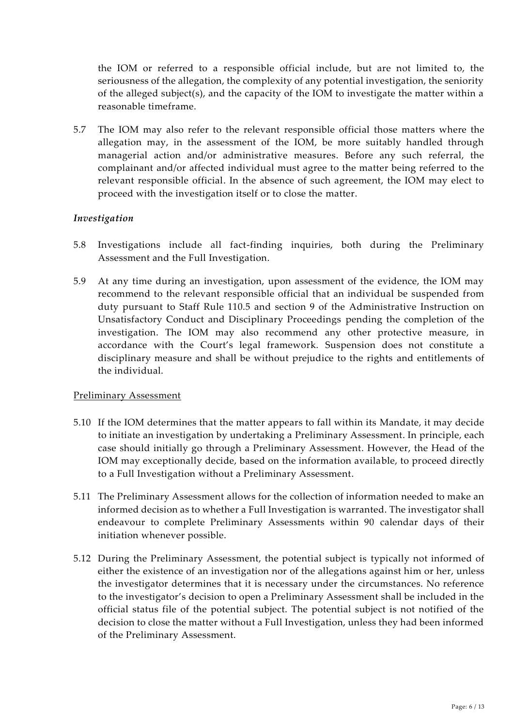the IOM or referred to a responsible official include, but are not limited to, the seriousness of the allegation, the complexity of any potential investigation, the seniority of the alleged subject(s), and the capacity of the IOM to investigate the matter within a reasonable timeframe.

5.7 The IOM may also refer to the relevant responsible official those matters where the allegation may, in the assessment of the IOM, be more suitably handled through managerial action and/or administrative measures. Before any such referral, the complainant and/or affected individual must agree to the matter being referred to the relevant responsible official. In the absence of such agreement, the IOM may elect to proceed with the investigation itself or to close the matter.

## *Investigation*

- <span id="page-5-0"></span>5.8 Investigations include all fact-finding inquiries, both during the Preliminary Assessment and the Full Investigation.
- 5.9 At any time during an investigation, upon assessment of the evidence, the IOM may recommend to the relevant responsible official that an individual be suspended from duty pursuant to Staff Rule 110.5 and section 9 of the Administrative Instruction on Unsatisfactory Conduct and Disciplinary Proceedings pending the completion of the investigation. The IOM may also recommend any other protective measure, in accordance with the Court's legal framework. Suspension does not constitute a disciplinary measure and shall be without prejudice to the rights and entitlements of the individual.

## Preliminary Assessment

- 5.10 If the IOM determines that the matter appears to fall within its Mandate, it may decide to initiate an investigation by undertaking a Preliminary Assessment. In principle, each case should initially go through a Preliminary Assessment. However, the Head of the IOM may exceptionally decide, based on the information available, to proceed directly to a Full Investigation without a Preliminary Assessment.
- 5.11 The Preliminary Assessment allows for the collection of information needed to make an informed decision as to whether a Full Investigation is warranted. The investigator shall endeavour to complete Preliminary Assessments within 90 calendar days of their initiation whenever possible.
- 5.12 During the Preliminary Assessment, the potential subject is typically not informed of either the existence of an investigation nor of the allegations against him or her, unless the investigator determines that it is necessary under the circumstances. No reference to the investigator's decision to open a Preliminary Assessment shall be included in the official status file of the potential subject. The potential subject is not notified of the decision to close the matter without a Full Investigation, unless they had been informed of the Preliminary Assessment.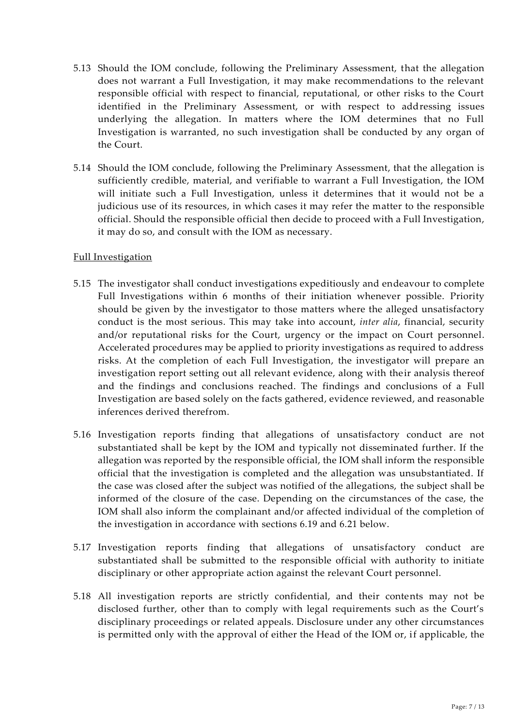- 5.13 Should the IOM conclude, following the Preliminary Assessment, that the allegation does not warrant a Full Investigation, it may make recommendations to the relevant responsible official with respect to financial, reputational, or other risks to the Court identified in the Preliminary Assessment, or with respect to addressing issues underlying the allegation. In matters where the IOM determines that no Full Investigation is warranted, no such investigation shall be conducted by any organ of the Court.
- 5.14 Should the IOM conclude, following the Preliminary Assessment, that the allegation is sufficiently credible, material, and verifiable to warrant a Full Investigation, the IOM will initiate such a Full Investigation, unless it determines that it would not be a judicious use of its resources, in which cases it may refer the matter to the responsible official. Should the responsible official then decide to proceed with a Full Investigation, it may do so, and consult with the IOM as necessary.

#### Full Investigation

- 5.15 The investigator shall conduct investigations expeditiously and endeavour to complete Full Investigations within 6 months of their initiation whenever possible. Priority should be given by the investigator to those matters where the alleged unsatisfactory conduct is the most serious. This may take into account, *inter alia*, financial, security and/or reputational risks for the Court, urgency or the impact on Court personnel. Accelerated procedures may be applied to priority investigations as required to address risks. At the completion of each Full Investigation, the investigator will prepare an investigation report setting out all relevant evidence, along with their analysis thereof and the findings and conclusions reached. The findings and conclusions of a Full Investigation are based solely on the facts gathered, evidence reviewed, and reasonable inferences derived therefrom.
- 5.16 Investigation reports finding that allegations of unsatisfactory conduct are not substantiated shall be kept by the IOM and typically not disseminated further. If the allegation was reported by the responsible official, the IOM shall inform the responsible official that the investigation is completed and the allegation was unsubstantiated. If the case was closed after the subject was notified of the allegations, the subject shall be informed of the closure of the case. Depending on the circumstances of the case, the IOM shall also inform the complainant and/or affected individual of the completion of the investigation in accordance with sections [6.19](#page-10-0) and [6.21](#page-11-0) below.
- 5.17 Investigation reports finding that allegations of unsatisfactory conduct are substantiated shall be submitted to the responsible official with authority to initiate disciplinary or other appropriate action against the relevant Court personnel.
- 5.18 All investigation reports are strictly confidential, and their contents may not be disclosed further, other than to comply with legal requirements such as the Court's disciplinary proceedings or related appeals. Disclosure under any other circumstances is permitted only with the approval of either the Head of the IOM or, if applicable, the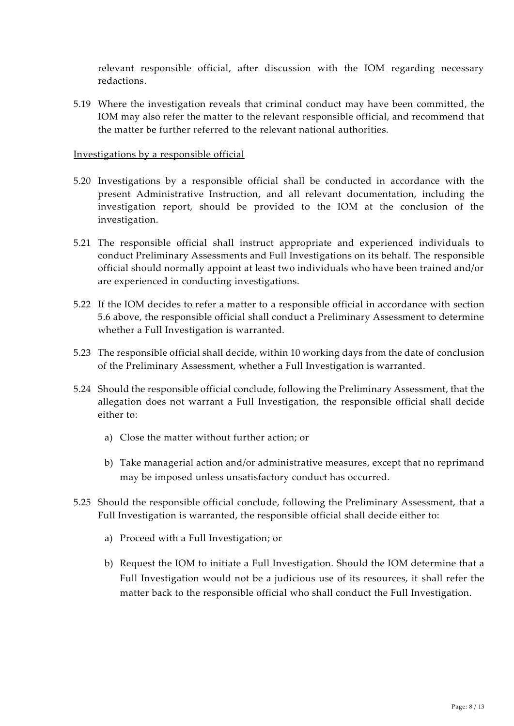relevant responsible official, after discussion with the IOM regarding necessary redactions.

<span id="page-7-0"></span>5.19 Where the investigation reveals that criminal conduct may have been committed, the IOM may also refer the matter to the relevant responsible official, and recommend that the matter be further referred to the relevant national authorities.

#### Investigations by a responsible official

- 5.20 Investigations by a responsible official shall be conducted in accordance with the present Administrative Instruction, and all relevant documentation, including the investigation report, should be provided to the IOM at the conclusion of the investigation.
- 5.21 The responsible official shall instruct appropriate and experienced individuals to conduct Preliminary Assessments and Full Investigations on its behalf. The responsible official should normally appoint at least two individuals who have been trained and/or are experienced in conducting investigations.
- 5.22 If the IOM decides to refer a matter to a responsible official in accordance with section 5.6 above, the responsible official shall conduct a Preliminary Assessment to determine whether a Full Investigation is warranted.
- 5.23 The responsible official shall decide, within 10 working days from the date of conclusion of the Preliminary Assessment, whether a Full Investigation is warranted.
- 5.24 Should the responsible official conclude, following the Preliminary Assessment, that the allegation does not warrant a Full Investigation, the responsible official shall decide either to:
	- a) Close the matter without further action; or
	- b) Take managerial action and/or administrative measures, except that no reprimand may be imposed unless unsatisfactory conduct has occurred.
- 5.25 Should the responsible official conclude, following the Preliminary Assessment, that a Full Investigation is warranted, the responsible official shall decide either to:
	- a) Proceed with a Full Investigation; or
	- b) Request the IOM to initiate a Full Investigation. Should the IOM determine that a Full Investigation would not be a judicious use of its resources, it shall refer the matter back to the responsible official who shall conduct the Full Investigation.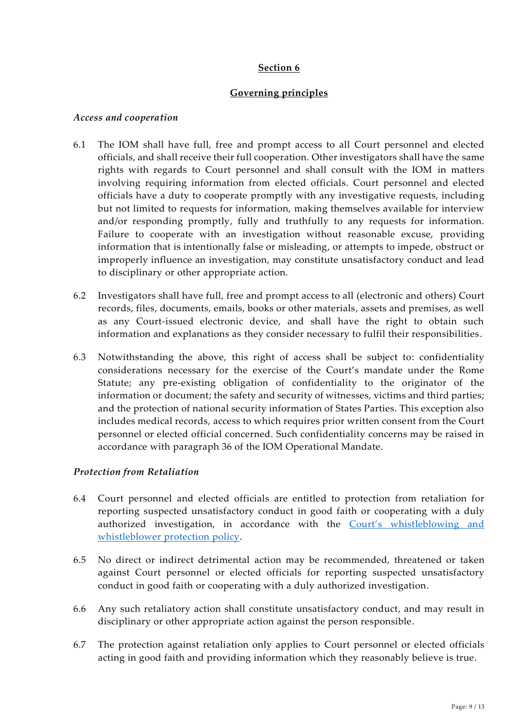## **Governing principles**

#### *Access and cooperation*

- 6.1 The IOM shall have full, free and prompt access to all Court personnel and elected officials, and shall receive their full cooperation. Other investigators shall have the same rights with regards to Court personnel and shall consult with the IOM in matters involving requiring information from elected officials. Court personnel and elected officials have a duty to cooperate promptly with any investigative requests, including but not limited to requests for information, making themselves available for interview and/or responding promptly, fully and truthfully to any requests for information. Failure to cooperate with an investigation without reasonable excuse, providing information that is intentionally false or misleading, or attempts to impede, obstruct or improperly influence an investigation, may constitute unsatisfactory conduct and lead to disciplinary or other appropriate action.
- 6.2 Investigators shall have full, free and prompt access to all (electronic and others) Court records, files, documents, emails, books or other materials, assets and premises, as well as any Court-issued electronic device, and shall have the right to obtain such information and explanations as they consider necessary to fulfil their responsibilities.
- 6.3 Notwithstanding the above, this right of access shall be subject to: confidentiality considerations necessary for the exercise of the Court's mandate under the Rome Statute; any pre-existing obligation of confidentiality to the originator of the information or document; the safety and security of witnesses, victims and third parties; and the protection of national security information of States Parties. This exception also includes medical records, access to which requires prior written consent from the Court personnel or elected official concerned. Such confidentiality concerns may be raised in accordance with paragraph 36 of the IOM Operational Mandate.

## *Protection from Retaliation*

- 6.4 Court personnel and elected officials are entitled to protection from retaliation for reporting suspected unsatisfactory conduct in good faith or cooperating with a duly authorized investigation, in accordance with the Court's [whistleblowing and](https://www.icc-cpi.int/Vademecum/OT1846650_ICC%20PRESD%20G%202014%20003%20(ENG)%20-%20ICC%20WHISTLEBLOWING%20AND%20WHISTLEBLOWER%20PROTECTION%20POLICY.PDF)  [whistleblower protection policy.](https://www.icc-cpi.int/Vademecum/OT1846650_ICC%20PRESD%20G%202014%20003%20(ENG)%20-%20ICC%20WHISTLEBLOWING%20AND%20WHISTLEBLOWER%20PROTECTION%20POLICY.PDF)
- 6.5 No direct or indirect detrimental action may be recommended, threatened or taken against Court personnel or elected officials for reporting suspected unsatisfactory conduct in good faith or cooperating with a duly authorized investigation.
- 6.6 Any such retaliatory action shall constitute unsatisfactory conduct, and may result in disciplinary or other appropriate action against the person responsible.
- 6.7 The protection against retaliation only applies to Court personnel or elected officials acting in good faith and providing information which they reasonably believe is true.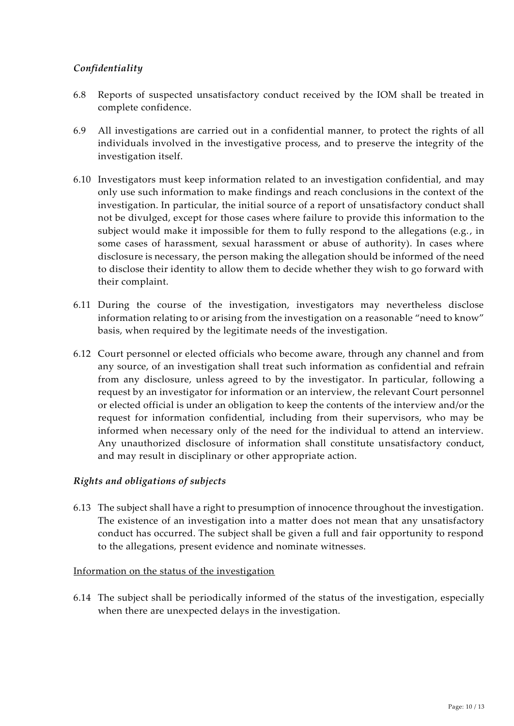# *Confidentiality*

- 6.8 Reports of suspected unsatisfactory conduct received by the IOM shall be treated in complete confidence.
- 6.9 All investigations are carried out in a confidential manner, to protect the rights of all individuals involved in the investigative process, and to preserve the integrity of the investigation itself.
- 6.10 Investigators must keep information related to an investigation confidential, and may only use such information to make findings and reach conclusions in the context of the investigation. In particular, the initial source of a report of unsatisfactory conduct shall not be divulged, except for those cases where failure to provide this information to the subject would make it impossible for them to fully respond to the allegations (e.g., in some cases of harassment, sexual harassment or abuse of authority). In cases where disclosure is necessary, the person making the allegation should be informed of the need to disclose their identity to allow them to decide whether they wish to go forward with their complaint.
- 6.11 During the course of the investigation, investigators may nevertheless disclose information relating to or arising from the investigation on a reasonable "need to know" basis, when required by the legitimate needs of the investigation.
- 6.12 Court personnel or elected officials who become aware, through any channel and from any source, of an investigation shall treat such information as confidential and refrain from any disclosure, unless agreed to by the investigator. In particular, following a request by an investigator for information or an interview, the relevant Court personnel or elected official is under an obligation to keep the contents of the interview and/or the request for information confidential, including from their supervisors, who may be informed when necessary only of the need for the individual to attend an interview. Any unauthorized disclosure of information shall constitute unsatisfactory conduct, and may result in disciplinary or other appropriate action.

## *Rights and obligations of subjects*

6.13 The subject shall have a right to presumption of innocence throughout the investigation. The existence of an investigation into a matter does not mean that any unsatisfactory conduct has occurred. The subject shall be given a full and fair opportunity to respond to the allegations, present evidence and nominate witnesses.

#### Information on the status of the investigation

6.14 The subject shall be periodically informed of the status of the investigation, especially when there are unexpected delays in the investigation.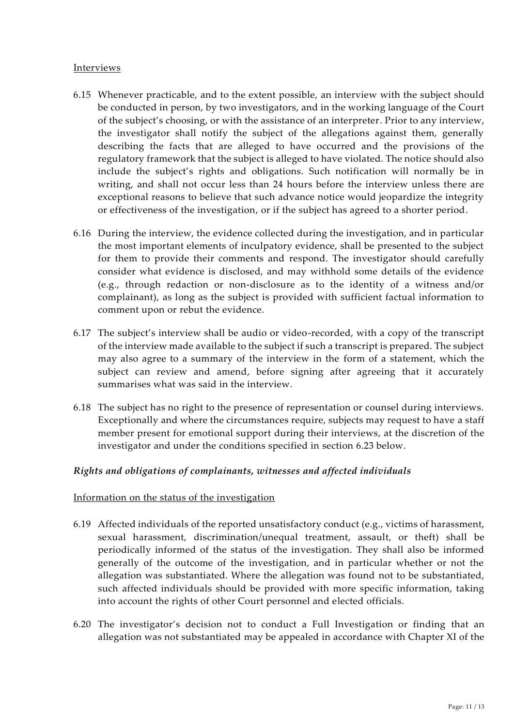#### Interviews

- 6.15 Whenever practicable, and to the extent possible, an interview with the subject should be conducted in person, by two investigators, and in the working language of the Court of the subject's choosing, or with the assistance of an interpreter. Prior to any interview, the investigator shall notify the subject of the allegations against them, generally describing the facts that are alleged to have occurred and the provisions of the regulatory framework that the subject is alleged to have violated. The notice should also include the subject's rights and obligations. Such notification will normally be in writing, and shall not occur less than 24 hours before the interview unless there are exceptional reasons to believe that such advance notice would jeopardize the integrity or effectiveness of the investigation, or if the subject has agreed to a shorter period.
- 6.16 During the interview, the evidence collected during the investigation, and in particular the most important elements of inculpatory evidence, shall be presented to the subject for them to provide their comments and respond. The investigator should carefully consider what evidence is disclosed, and may withhold some details of the evidence (e.g., through redaction or non-disclosure as to the identity of a witness and/or complainant), as long as the subject is provided with sufficient factual information to comment upon or rebut the evidence.
- 6.17 The subject's interview shall be audio or video-recorded, with a copy of the transcript of the interview made available to the subject if such a transcript is prepared. The subject may also agree to a summary of the interview in the form of a statement, which the subject can review and amend, before signing after agreeing that it accurately summarises what was said in the interview.
- 6.18 The subject has no right to the presence of representation or counsel during interviews. Exceptionally and where the circumstances require, subjects may request to have a staff member present for emotional support during their interviews, at the discretion of the investigator and under the conditions specified in section 6.23 below.

## *Rights and obligations of complainants, witnesses and affected individuals*

#### Information on the status of the investigation

- <span id="page-10-0"></span>6.19 Affected individuals of the reported unsatisfactory conduct (e.g., victims of harassment, sexual harassment, discrimination/unequal treatment, assault, or theft) shall be periodically informed of the status of the investigation. They shall also be informed generally of the outcome of the investigation, and in particular whether or not the allegation was substantiated. Where the allegation was found not to be substantiated, such affected individuals should be provided with more specific information, taking into account the rights of other Court personnel and elected officials.
- 6.20 The investigator's decision not to conduct a Full Investigation or finding that an allegation was not substantiated may be appealed in accordance with Chapter XI of the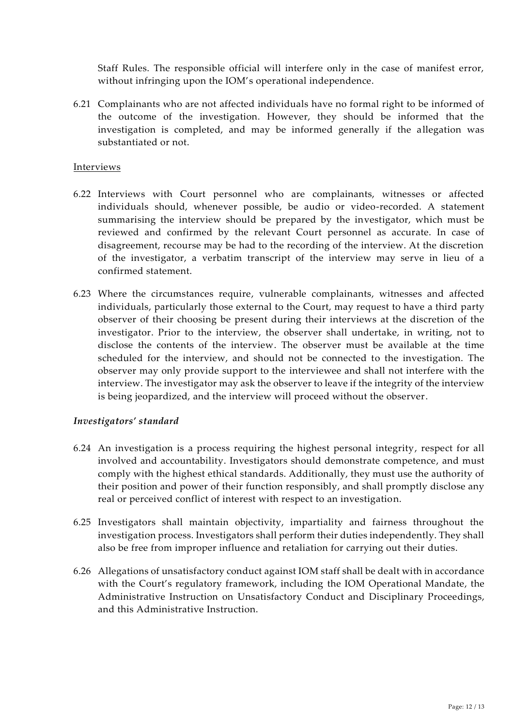Staff Rules. The responsible official will interfere only in the case of manifest error, without infringing upon the IOM's operational independence.

<span id="page-11-0"></span>6.21 Complainants who are not affected individuals have no formal right to be informed of the outcome of the investigation. However, they should be informed that the investigation is completed, and may be informed generally if the allegation was substantiated or not.

#### Interviews

- 6.22 Interviews with Court personnel who are complainants, witnesses or affected individuals should, whenever possible, be audio or video-recorded. A statement summarising the interview should be prepared by the investigator, which must be reviewed and confirmed by the relevant Court personnel as accurate. In case of disagreement, recourse may be had to the recording of the interview. At the discretion of the investigator, a verbatim transcript of the interview may serve in lieu of a confirmed statement.
- 6.23 Where the circumstances require, vulnerable complainants, witnesses and affected individuals, particularly those external to the Court, may request to have a third party observer of their choosing be present during their interviews at the discretion of the investigator. Prior to the interview, the observer shall undertake, in writing, not to disclose the contents of the interview. The observer must be available at the time scheduled for the interview, and should not be connected to the investigation. The observer may only provide support to the interviewee and shall not interfere with the interview. The investigator may ask the observer to leave if the integrity of the interview is being jeopardized, and the interview will proceed without the observer.

#### *Investigators' standard*

- 6.24 An investigation is a process requiring the highest personal integrity, respect for all involved and accountability. Investigators should demonstrate competence, and must comply with the highest ethical standards. Additionally, they must use the authority of their position and power of their function responsibly, and shall promptly disclose any real or perceived conflict of interest with respect to an investigation.
- 6.25 Investigators shall maintain objectivity, impartiality and fairness throughout the investigation process. Investigators shall perform their duties independently. They shall also be free from improper influence and retaliation for carrying out their duties.
- 6.26 Allegations of unsatisfactory conduct against IOM staff shall be dealt with in accordance with the Court's regulatory framework, including the IOM Operational Mandate, the Administrative Instruction on Unsatisfactory Conduct and Disciplinary Proceedings, and this Administrative Instruction.